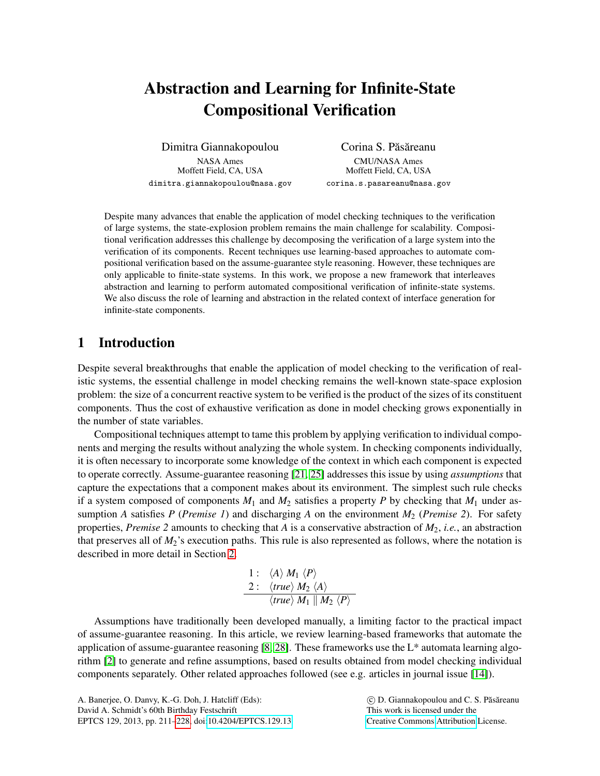# Abstraction and Learning for Infinite-State Compositional Verification

Dimitra Giannakopoulou NASA Ames Moffett Field, CA, USA dimitra.giannakopoulou@nasa.gov

Corina S. Păsăreanu CMU/NASA Ames Moffett Field, CA, USA corina.s.pasareanu@nasa.gov

Despite many advances that enable the application of model checking techniques to the verification of large systems, the state-explosion problem remains the main challenge for scalability. Compositional verification addresses this challenge by decomposing the verification of a large system into the verification of its components. Recent techniques use learning-based approaches to automate compositional verification based on the assume-guarantee style reasoning. However, these techniques are only applicable to finite-state systems. In this work, we propose a new framework that interleaves abstraction and learning to perform automated compositional verification of infinite-state systems. We also discuss the role of learning and abstraction in the related context of interface generation for infinite-state components.

# 1 Introduction

Despite several breakthroughs that enable the application of model checking to the verification of realistic systems, the essential challenge in model checking remains the well-known state-space explosion problem: the size of a concurrent reactive system to be verified is the product of the sizes of its constituent components. Thus the cost of exhaustive verification as done in model checking grows exponentially in the number of state variables.

Compositional techniques attempt to tame this problem by applying verification to individual components and merging the results without analyzing the whole system. In checking components individually, it is often necessary to incorporate some knowledge of the context in which each component is expected to operate correctly. Assume-guarantee reasoning [\[21,](#page-16-0) [25\]](#page-16-1) addresses this issue by using *assumptions* that capture the expectations that a component makes about its environment. The simplest such rule checks if a system composed of components  $M_1$  and  $M_2$  satisfies a property P by checking that  $M_1$  under assumption *A* satisfies *P* (*Premise 1*) and discharging *A* on the environment *M*<sup>2</sup> (*Premise 2*). For safety properties, *Premise 2* amounts to checking that *A* is a conservative abstraction of *M*2, *i.e.*, an abstraction that preserves all of *M*2's execution paths. This rule is also represented as follows, where the notation is described in more detail in Section [2.](#page-1-0)

1: 
$$
\langle A \rangle M_1 \langle P \rangle
$$
  
\n2:  $\langle true \rangle M_2 \langle A \rangle$   
\n $\langle true \rangle M_1 || M_2 \langle P \rangle$ 

Assumptions have traditionally been developed manually, a limiting factor to the practical impact of assume-guarantee reasoning. In this article, we review learning-based frameworks that automate the application of assume-guarantee reasoning [\[8,](#page-16-2) [28\]](#page-17-1). These frameworks use the L\* automata learning algorithm [\[2\]](#page-15-0) to generate and refine assumptions, based on results obtained from model checking individual components separately. Other related approaches followed (see e.g. articles in journal issue [\[14\]](#page-16-3)).

 $\odot$  D. Giannakopoulou and C. S. Păsăreanu This work is licensed under the [Creative Commons](http://creativecommons.org) [Attribution](http://creativecommons.org/licenses/by/3.0/) License.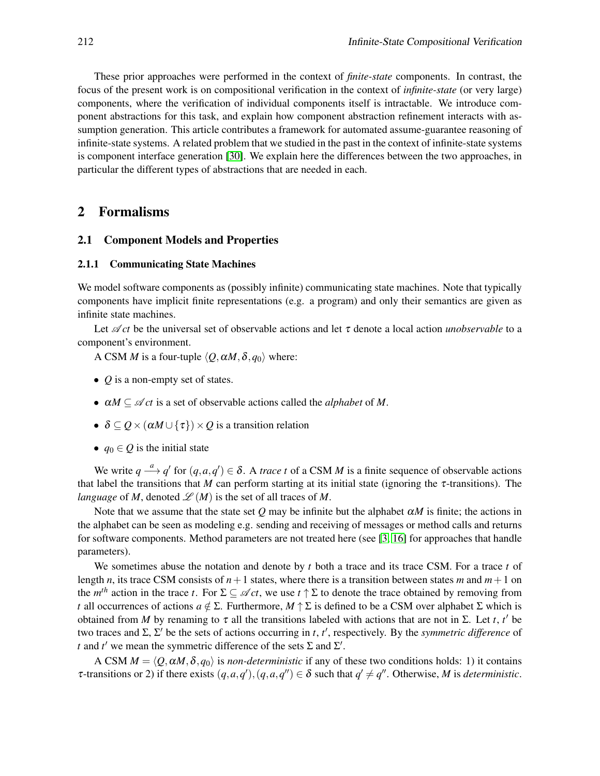These prior approaches were performed in the context of *finite-state* components. In contrast, the focus of the present work is on compositional verification in the context of *infinite-state* (or very large) components, where the verification of individual components itself is intractable. We introduce component abstractions for this task, and explain how component abstraction refinement interacts with assumption generation. This article contributes a framework for automated assume-guarantee reasoning of infinite-state systems. A related problem that we studied in the past in the context of infinite-state systems is component interface generation [\[30\]](#page-17-2). We explain here the differences between the two approaches, in particular the different types of abstractions that are needed in each.

## <span id="page-1-0"></span>2 Formalisms

#### 2.1 Component Models and Properties

#### 2.1.1 Communicating State Machines

We model software components as (possibly infinite) communicating state machines. Note that typically components have implicit finite representations (e.g. a program) and only their semantics are given as infinite state machines.

Let A *ct* be the universal set of observable actions and let τ denote a local action *unobservable* to a component's environment.

A CSM *M* is a four-tuple  $\langle Q, \alpha M, \delta, q_0 \rangle$  where:

- *O* is a non-empty set of states.
- $\alpha M \subseteq \mathcal{A}$  *ct* is a set of observable actions called the *alphabet* of *M*.
- $\delta \subseteq Q \times (\alpha M \cup {\tau}) \times Q$  is a transition relation
- $q_0 \in Q$  is the initial state

We write  $q \stackrel{a}{\longrightarrow} q'$  for  $(q, a, q') \in \delta$ . A *trace t* of a CSM *M* is a finite sequence of observable actions that label the transitions that *M* can perform starting at its initial state (ignoring the  $\tau$ -transitions). The *language* of *M*, denoted  $\mathcal{L}(M)$  is the set of all traces of *M*.

Note that we assume that the state set  $Q$  may be infinite but the alphabet  $\alpha M$  is finite; the actions in the alphabet can be seen as modeling e.g. sending and receiving of messages or method calls and returns for software components. Method parameters are not treated here (see [\[3,](#page-15-1) [16\]](#page-16-4) for approaches that handle parameters).

We sometimes abuse the notation and denote by *t* both a trace and its trace CSM. For a trace *t* of length *n*, its trace CSM consists of  $n+1$  states, where there is a transition between states *m* and  $m+1$  on the  $m^{th}$  action in the trace *t*. For  $\Sigma \subseteq \mathscr{A}$  *ct*, we use  $t \uparrow \Sigma$  to denote the trace obtained by removing from *t* all occurrences of actions  $a \notin \Sigma$ . Furthermore,  $M \uparrow \Sigma$  is defined to be a CSM over alphabet  $\Sigma$  which is obtained from *M* by renaming to  $\tau$  all the transitions labeled with actions that are not in  $\Sigma$ . Let *t*, *t'* be two traces and  $\Sigma$ ,  $\Sigma'$  be the sets of actions occurring in *t*, *t'*, respectively. By the *symmetric difference* of *t* and *t*<sup>'</sup> we mean the symmetric difference of the sets  $\Sigma$  and  $\Sigma'$ .

A CSM  $M = \langle Q, \alpha M, \delta, q_0 \rangle$  is *non-deterministic* if any of these two conditions holds: 1) it contains  $\tau$ -transitions or 2) if there exists  $(q, a, q')$ ,  $(q, a, q'') \in \delta$  such that  $q' \neq q''$ . Otherwise, *M* is *deterministic*.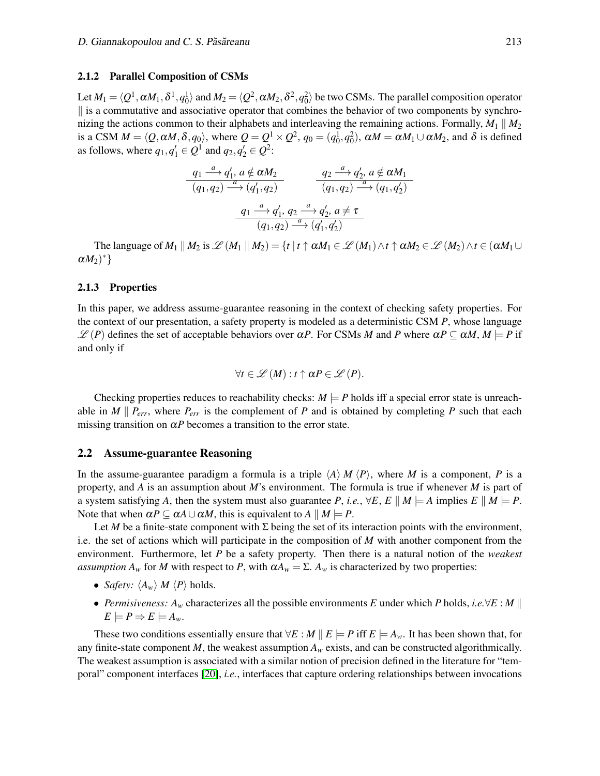#### 2.1.2 Parallel Composition of CSMs

Let  $M_1 = \langle Q^1, \alpha M_1, \delta^1, q_0^1 \rangle$  and  $M_2 = \langle Q^2, \alpha M_2, \delta^2, q_0^2 \rangle$  be two CSMs. The parallel composition operator  $\parallel$  is a commutative and associative operator that combines the behavior of two components by synchronizing the actions common to their alphabets and interleaving the remaining actions. Formally,  $M_1 \parallel M_2$ is a CSM  $M = \langle Q, \alpha M, \delta, q_0 \rangle$ , where  $Q = Q^1 \times Q^2$ ,  $q_0 = (q_0^1, q_0^2)$ ,  $\alpha M = \alpha M_1 \cup \alpha M_2$ , and  $\delta$  is defined as follows, where  $q_1, q'_1 \in Q^1$  and  $q_2, q'_2 \in Q^2$ :

$$
\frac{q_1 \stackrel{a}{\longrightarrow} q'_1, a \notin \alpha M_2}{(q_1, q_2) \stackrel{a}{\longrightarrow} (q'_1, q_2)} \qquad \frac{q_2 \stackrel{a}{\longrightarrow} q'_2, a \notin \alpha M_1}{(q_1, q_2) \stackrel{a}{\longrightarrow} (q_1, q'_2)}
$$
\n
$$
\frac{q_1 \stackrel{a}{\longrightarrow} q'_1, q_2 \stackrel{a}{\longrightarrow} q'_2, a \neq \tau}{(q_1, q_2) \stackrel{a}{\longrightarrow} (q'_1, q'_2)}
$$

The language of  $M_1 \parallel M_2$  is  $\mathscr{L}(M_1 \parallel M_2) = \{t \mid t \uparrow \alpha M_1 \in \mathscr{L}(M_1) \wedge t \uparrow \alpha M_2 \in \mathscr{L}(M_2) \wedge t \in (\alpha M_1 \cup$  $\alpha M_2)^*$ }

#### 2.1.3 Properties

In this paper, we address assume-guarantee reasoning in the context of checking safety properties. For the context of our presentation, a safety property is modeled as a deterministic CSM *P*, whose language  $\mathscr{L}(P)$  defines the set of acceptable behaviors over  $\alpha P$ . For CSMs *M* and *P* where  $\alpha P \subseteq \alpha M$ ,  $M \models P$  if and only if

$$
\forall t \in \mathscr{L}(M): t \uparrow \alpha P \in \mathscr{L}(P).
$$

Checking properties reduces to reachability checks:  $M \models P$  holds iff a special error state is unreachable in *M*  $\parallel$  *P*<sub>*err*</sub>, where *P*<sub>*err*</sub> is the complement of *P* and is obtained by completing *P* such that each missing transition on  $\alpha P$  becomes a transition to the error state.

#### 2.2 Assume-guarantee Reasoning

In the assume-guarantee paradigm a formula is a triple  $\langle A \rangle M \langle P \rangle$ , where *M* is a component, *P* is a property, and *A* is an assumption about *M*'s environment. The formula is true if whenever *M* is part of a system satisfying *A*, then the system must also guarantee *P*, *i.e.*,  $\forall E, E \parallel M \models A$  implies  $E \parallel M \models P$ . Note that when  $\alpha P \subseteq \alpha A \cup \alpha M$ , this is equivalent to  $A \parallel M \models P$ .

Let *M* be a finite-state component with  $\Sigma$  being the set of its interaction points with the environment, i.e. the set of actions which will participate in the composition of *M* with another component from the environment. Furthermore, let *P* be a safety property. Then there is a natural notion of the *weakest assumption*  $A_w$  for *M* with respect to *P*, with  $\alpha A_w = \Sigma$ .  $A_w$  is characterized by two properties:

- *Safety:*  $\langle A_w \rangle$  *M*  $\langle P \rangle$  holds.
- *Permisiveness: A<sup>w</sup>* characterizes all the possible environments *E* under which *P* holds, *i.e.*∀*E* : *M* k  $E \models P \Rightarrow E \models A_w$ .

These two conditions essentially ensure that  $\forall E : M \parallel E \models P$  iff  $E \models A_w$ . It has been shown that, for any finite-state component *M*, the weakest assumption  $A_w$  exists, and can be constructed algorithmically. The weakest assumption is associated with a similar notion of precision defined in the literature for "temporal" component interfaces [\[20\]](#page-16-5), *i.e.*, interfaces that capture ordering relationships between invocations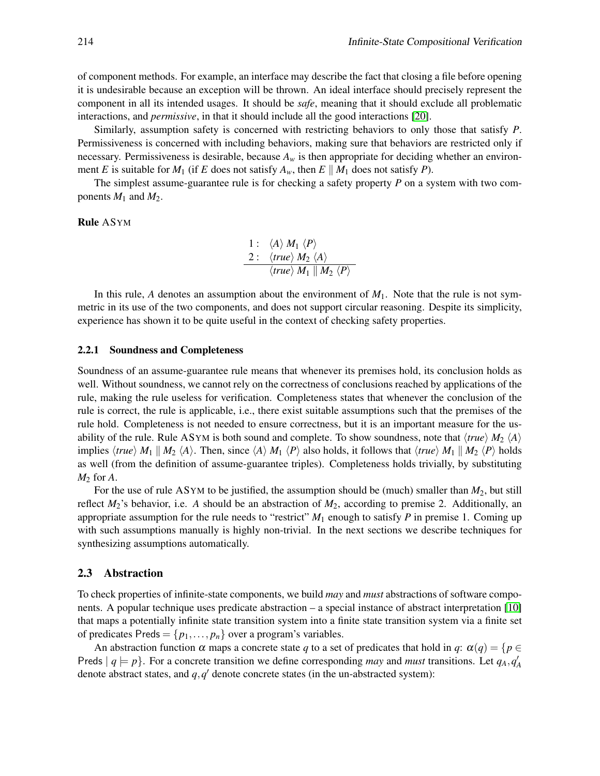of component methods. For example, an interface may describe the fact that closing a file before opening it is undesirable because an exception will be thrown. An ideal interface should precisely represent the component in all its intended usages. It should be *safe*, meaning that it should exclude all problematic interactions, and *permissive*, in that it should include all the good interactions [\[20\]](#page-16-5).

Similarly, assumption safety is concerned with restricting behaviors to only those that satisfy *P*. Permissiveness is concerned with including behaviors, making sure that behaviors are restricted only if necessary. Permissiveness is desirable, because  $A_w$  is then appropriate for deciding whether an environment *E* is suitable for  $M_1$  (if *E* does not satisfy  $A_w$ , then  $E \parallel M_1$  does not satisfy *P*).

The simplest assume-guarantee rule is for checking a safety property *P* on a system with two components  $M_1$  and  $M_2$ .

Rule ASYM

1: 
$$
\langle A \rangle M_1 \langle P \rangle
$$
  
\n2:  $\langle true \rangle M_2 \langle A \rangle$   
\n $\langle true \rangle M_1 || M_2 \langle P \rangle$ 

In this rule, A denotes an assumption about the environment of  $M_1$ . Note that the rule is not symmetric in its use of the two components, and does not support circular reasoning. Despite its simplicity, experience has shown it to be quite useful in the context of checking safety properties.

#### 2.2.1 Soundness and Completeness

Soundness of an assume-guarantee rule means that whenever its premises hold, its conclusion holds as well. Without soundness, we cannot rely on the correctness of conclusions reached by applications of the rule, making the rule useless for verification. Completeness states that whenever the conclusion of the rule is correct, the rule is applicable, i.e., there exist suitable assumptions such that the premises of the rule hold. Completeness is not needed to ensure correctness, but it is an important measure for the usability of the rule. Rule ASYM is both sound and complete. To show soundness, note that  $\langle true \rangle M_2 \langle A \rangle$ implies  $\langle true \rangle M_1 \parallel M_2 \langle A \rangle$ . Then, since  $\langle A \rangle M_1 \langle P \rangle$  also holds, it follows that  $\langle true \rangle M_1 \parallel M_2 \langle P \rangle$  holds as well (from the definition of assume-guarantee triples). Completeness holds trivially, by substituting *M*<sup>2</sup> for *A*.

For the use of rule ASYM to be justified, the assumption should be (much) smaller than *M*2, but still reflect  $M_2$ 's behavior, i.e. A should be an abstraction of  $M_2$ , according to premise 2. Additionally, an appropriate assumption for the rule needs to "restrict" *M*<sup>1</sup> enough to satisfy *P* in premise 1. Coming up with such assumptions manually is highly non-trivial. In the next sections we describe techniques for synthesizing assumptions automatically.

#### 2.3 Abstraction

To check properties of infinite-state components, we build *may* and *must* abstractions of software components. A popular technique uses predicate abstraction – a special instance of abstract interpretation [\[10\]](#page-16-6) that maps a potentially infinite state transition system into a finite state transition system via a finite set of predicates Preds =  $\{p_1, \ldots, p_n\}$  over a program's variables.

An abstraction function  $\alpha$  maps a concrete state *q* to a set of predicates that hold in *q*:  $\alpha(q) = \{p \in \mathbb{R}^d : |q| \leq q \}$ Preds  $|q| = p$ . For a concrete transition we define corresponding *may* and *must* transitions. Let  $q_A$ ,  $q'_A$ denote abstract states, and  $q$ ,  $q'$  denote concrete states (in the un-abstracted system):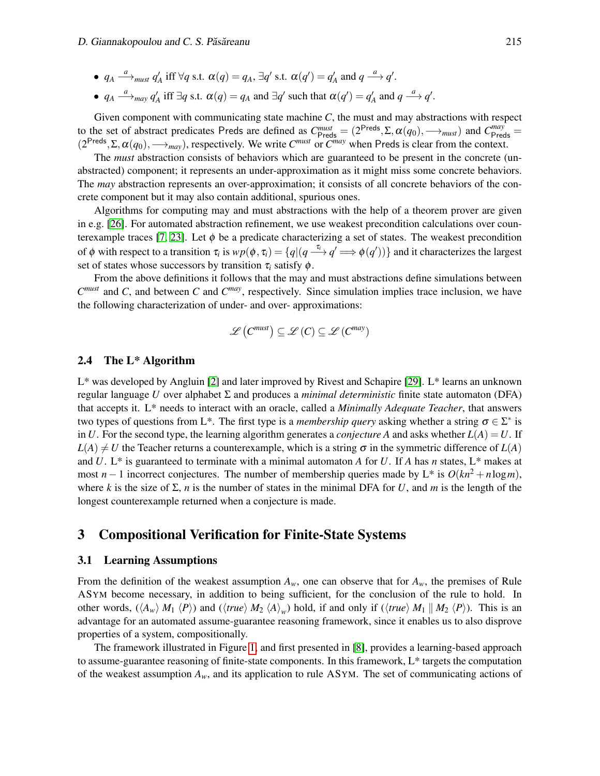- $q_A \stackrel{a}{\longrightarrow}_{must} q'_A$  iff  $\forall q$  s.t.  $\alpha(q) = q_A$ ,  $\exists q'$  s.t.  $\alpha(q') = q'_A$  and  $q \stackrel{a}{\longrightarrow} q'.$
- $q_A \stackrel{a}{\longrightarrow}_{\text{may}} q'_A$  iff  $\exists q$  s.t.  $\alpha(q) = q_A$  and  $\exists q'$  such that  $\alpha(q') = q'_A$  and  $q \stackrel{a}{\longrightarrow} q'.$

Given component with communicating state machine *C*, the must and may abstractions with respect to the set of abstract predicates Preds are defined as  $C_{\text{Preds}}^{must} = (2^{\text{Preds}}, \Sigma, \alpha(q_0), \longrightarrow_{must})$  and  $C_{\text{Preds}}^{may} =$  $(2^{\text{Preds}}, \Sigma, \alpha(q_0), \longrightarrow_{\text{may}})$ , respectively. We write  $C^{\text{must}}$  or  $C^{\text{may}}$  when Preds is clear from the context.

The *must* abstraction consists of behaviors which are guaranteed to be present in the concrete (unabstracted) component; it represents an under-approximation as it might miss some concrete behaviors. The *may* abstraction represents an over-approximation; it consists of all concrete behaviors of the concrete component but it may also contain additional, spurious ones.

Algorithms for computing may and must abstractions with the help of a theorem prover are given in e.g. [\[26\]](#page-17-3). For automated abstraction refinement, we use weakest precondition calculations over coun-terexample traces [\[7,](#page-15-2) [23\]](#page-16-7). Let  $\phi$  be a predicate characterizing a set of states. The weakest precondition of  $\phi$  with respect to a transition  $\tau_i$  is  $wp(\phi, \tau_i) = \{q | (q \xrightarrow{\tau_i} q' \implies \phi(q'))\}$  and it characterizes the largest set of states whose successors by transition  $\tau_i$  satisfy  $\phi$ .

From the above definitions it follows that the may and must abstractions define simulations between *C must* and *C*, and between *C* and *C may*, respectively. Since simulation implies trace inclusion, we have the following characterization of under- and over- approximations:

$$
\mathscr{L}\left(C^{must}\right) \subseteq \mathscr{L}\left(C\right) \subseteq \mathscr{L}\left(C^{may}\right)
$$

#### 2.4 The L\* Algorithm

L\* was developed by Angluin [\[2\]](#page-15-0) and later improved by Rivest and Schapire [\[29\]](#page-17-4). L\* learns an unknown regular language *U* over alphabet Σ and produces a *minimal deterministic* finite state automaton (DFA) that accepts it. L\* needs to interact with an oracle, called a *Minimally Adequate Teacher*, that answers two types of questions from L<sup>\*</sup>. The first type is a *membership query* asking whether a string  $\sigma \in \Sigma^*$  is in *U*. For the second type, the learning algorithm generates a *conjecture A* and asks whether  $L(A) = U$ . If  $L(A) \neq U$  the Teacher returns a counterexample, which is a string  $\sigma$  in the symmetric difference of  $L(A)$ and *U*. L\* is guaranteed to terminate with a minimal automaton *A* for *U*. If *A* has *n* states, L\* makes at most *n* − 1 incorrect conjectures. The number of membership queries made by L\* is  $O(kn^2 + n \log m)$ , where *k* is the size of  $\Sigma$ , *n* is the number of states in the minimal DFA for *U*, and *m* is the length of the longest counterexample returned when a conjecture is made.

## 3 Compositional Verification for Finite-State Systems

#### 3.1 Learning Assumptions

From the definition of the weakest assumption  $A_w$ , one can observe that for  $A_w$ , the premises of Rule ASYM become necessary, in addition to being sufficient, for the conclusion of the rule to hold. In other words,  $(\langle A_w \rangle M_1 \langle P \rangle)$  and  $(\langle true \rangle M_2 \langle A \rangle_w)$  hold, if and only if  $(\langle true \rangle M_1 || M_2 \langle P \rangle)$ . This is an advantage for an automated assume-guarantee reasoning framework, since it enables us to also disprove properties of a system, compositionally.

The framework illustrated in Figure [1,](#page-5-0) and first presented in [\[8\]](#page-16-2), provides a learning-based approach to assume-guarantee reasoning of finite-state components. In this framework, L\* targets the computation of the weakest assumption *Aw*, and its application to rule ASYM. The set of communicating actions of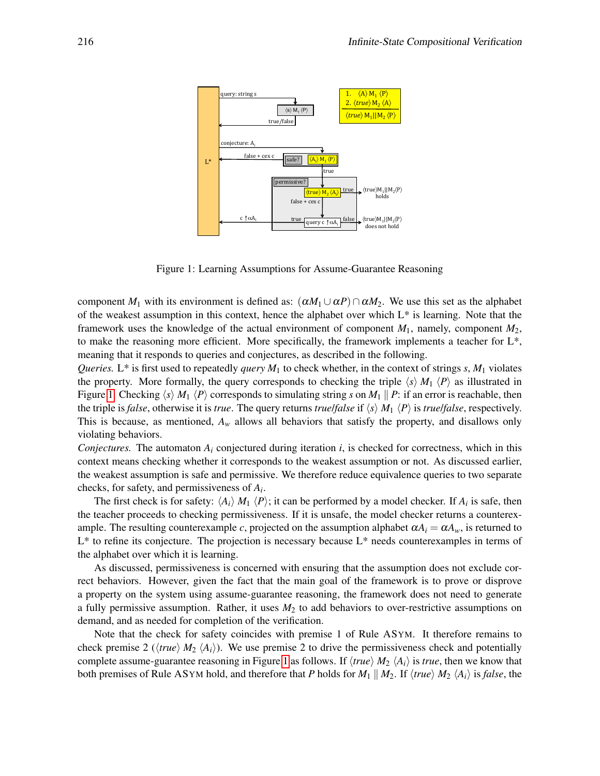

<span id="page-5-0"></span>Figure 1: Learning Assumptions for Assume-Guarantee Reasoning

component  $M_1$  with its environment is defined as:  $(\alpha M_1 \cup \alpha P) \cap \alpha M_2$ . We use this set as the alphabet of the weakest assumption in this context, hence the alphabet over which  $L^*$  is learning. Note that the framework uses the knowledge of the actual environment of component *M*1, namely, component *M*2, to make the reasoning more efficient. More specifically, the framework implements a teacher for L\*, meaning that it responds to queries and conjectures, as described in the following.

*Queries.* L<sup>\*</sup> is first used to repeatedly *query*  $M_1$  to check whether, in the context of strings *s*,  $M_1$  violates the property. More formally, the query corresponds to checking the triple  $\langle s \rangle M_1 \langle P \rangle$  as illustrated in Figure [1.](#page-5-0) Checking  $\langle s \rangle M_1 \langle P \rangle$  corresponds to simulating string *s* on  $M_1 \parallel P$ : if an error is reachable, then the triple is *false*, otherwise it is *true*. The query returns *true*/*false* if  $\langle s \rangle M_1 \langle P \rangle$  is *true*/*false*, respectively. This is because, as mentioned,  $A_w$  allows all behaviors that satisfy the property, and disallows only violating behaviors.

*Conjectures.* The automaton  $A_i$  conjectured during iteration *i*, is checked for correctness, which in this context means checking whether it corresponds to the weakest assumption or not. As discussed earlier, the weakest assumption is safe and permissive. We therefore reduce equivalence queries to two separate checks, for safety, and permissiveness of *A<sup>i</sup>* .

The first check is for safety:  $\langle A_i \rangle M_1 \langle P \rangle$ ; it can be performed by a model checker. If  $A_i$  is safe, then the teacher proceeds to checking permissiveness. If it is unsafe, the model checker returns a counterexample. The resulting counterexample *c*, projected on the assumption alphabet  $\alpha A_i = \alpha A_w$ , is returned to L\* to refine its conjecture. The projection is necessary because L\* needs counterexamples in terms of the alphabet over which it is learning.

As discussed, permissiveness is concerned with ensuring that the assumption does not exclude correct behaviors. However, given the fact that the main goal of the framework is to prove or disprove a property on the system using assume-guarantee reasoning, the framework does not need to generate a fully permissive assumption. Rather, it uses *M*<sup>2</sup> to add behaviors to over-restrictive assumptions on demand, and as needed for completion of the verification.

Note that the check for safety coincides with premise 1 of Rule ASYM. It therefore remains to check premise 2 ( $\langle true \rangle M_2 \langle A_i \rangle$ ). We use premise 2 to drive the permissiveness check and potentially complete assume-guarantee reasoning in Figure [1](#page-5-0) as follows. If  $\langle true \rangle M_2 \langle A_i \rangle$  is *true*, then we know that both premises of Rule ASYM hold, and therefore that *P* holds for  $M_1 \parallel M_2$ . If  $\langle true \rangle M_2 \langle A_i \rangle$  is *false*, the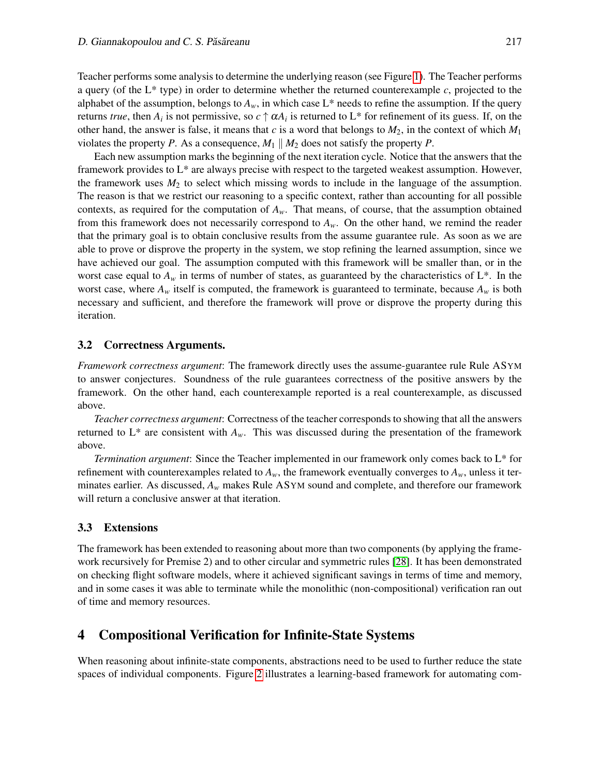Teacher performs some analysis to determine the underlying reason (see Figure [1\)](#page-5-0). The Teacher performs a query (of the L\* type) in order to determine whether the returned counterexample *c*, projected to the alphabet of the assumption, belongs to  $A_w$ , in which case  $L^*$  needs to refine the assumption. If the query returns *true*, then  $A_i$  is not permissive, so  $c \uparrow \alpha A_i$  is returned to  $L^*$  for refinement of its guess. If, on the other hand, the answer is false, it means that *c* is a word that belongs to *M*2, in the context of which *M*<sup>1</sup> violates the property *P*. As a consequence,  $M_1 \parallel M_2$  does not satisfy the property *P*.

Each new assumption marks the beginning of the next iteration cycle. Notice that the answers that the framework provides to L\* are always precise with respect to the targeted weakest assumption. However, the framework uses  $M_2$  to select which missing words to include in the language of the assumption. The reason is that we restrict our reasoning to a specific context, rather than accounting for all possible contexts, as required for the computation of *Aw*. That means, of course, that the assumption obtained from this framework does not necessarily correspond to *Aw*. On the other hand, we remind the reader that the primary goal is to obtain conclusive results from the assume guarantee rule. As soon as we are able to prove or disprove the property in the system, we stop refining the learned assumption, since we have achieved our goal. The assumption computed with this framework will be smaller than, or in the worst case equal to  $A_w$  in terms of number of states, as guaranteed by the characteristics of  $L^*$ . In the worst case, where  $A_w$  itself is computed, the framework is guaranteed to terminate, because  $A_w$  is both necessary and sufficient, and therefore the framework will prove or disprove the property during this iteration.

#### 3.2 Correctness Arguments.

*Framework correctness argument*: The framework directly uses the assume-guarantee rule Rule ASYM to answer conjectures. Soundness of the rule guarantees correctness of the positive answers by the framework. On the other hand, each counterexample reported is a real counterexample, as discussed above.

*Teacher correctness argument*: Correctness of the teacher corresponds to showing that all the answers returned to  $L^*$  are consistent with  $A_w$ . This was discussed during the presentation of the framework above.

*Termination argument*: Since the Teacher implemented in our framework only comes back to L\* for refinement with counterexamples related to  $A_w$ , the framework eventually converges to  $A_w$ , unless it terminates earlier. As discussed, *A<sup>w</sup>* makes Rule ASYM sound and complete, and therefore our framework will return a conclusive answer at that iteration.

#### 3.3 Extensions

The framework has been extended to reasoning about more than two components (by applying the framework recursively for Premise 2) and to other circular and symmetric rules [\[28\]](#page-17-1). It has been demonstrated on checking flight software models, where it achieved significant savings in terms of time and memory, and in some cases it was able to terminate while the monolithic (non-compositional) verification ran out of time and memory resources.

## 4 Compositional Verification for Infinite-State Systems

When reasoning about infinite-state components, abstractions need to be used to further reduce the state spaces of individual components. Figure [2](#page-7-0) illustrates a learning-based framework for automating com-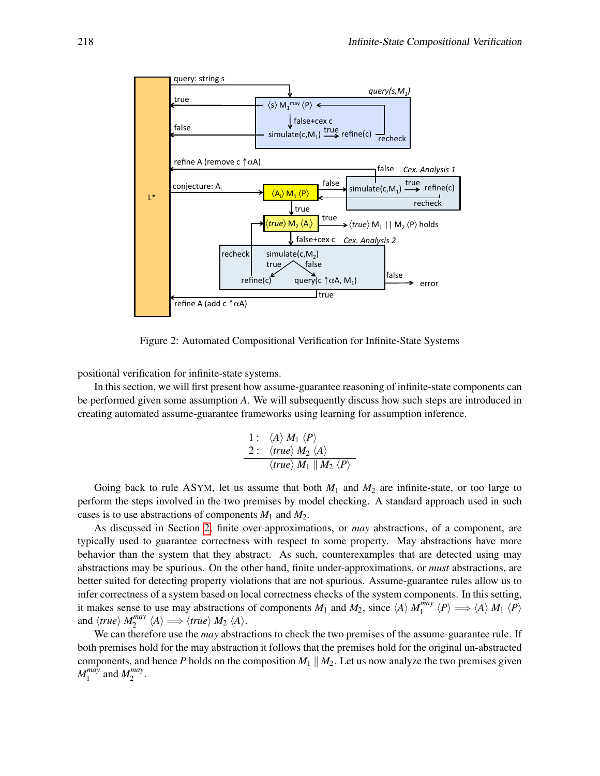

<span id="page-7-0"></span>Figure 2: Automated Compositional Verification for Infinite-State Systems

positional verification for infinite-state systems.

In this section, we will first present how assume-guarantee reasoning of infinite-state components can be performed given some assumption *A*. We will subsequently discuss how such steps are introduced in creating automated assume-guarantee frameworks using learning for assumption inference.

1: 
$$
\langle A \rangle M_1 \langle P \rangle
$$
  
\n2:  $\langle true \rangle M_2 \langle A \rangle$   
\n $\langle true \rangle M_1 || M_2 \langle P \rangle$ 

Going back to rule ASYM, let us assume that both  $M_1$  and  $M_2$  are infinite-state, or too large to perform the steps involved in the two premises by model checking. A standard approach used in such cases is to use abstractions of components *M*<sup>1</sup> and *M*2.

As discussed in Section [2,](#page-1-0) finite over-approximations, or *may* abstractions, of a component, are typically used to guarantee correctness with respect to some property. May abstractions have more behavior than the system that they abstract. As such, counterexamples that are detected using may abstractions may be spurious. On the other hand, finite under-approximations, or *must* abstractions, are better suited for detecting property violations that are not spurious. Assume-guarantee rules allow us to infer correctness of a system based on local correctness checks of the system components. In this setting, it makes sense to use may abstractions of components  $M_1$  and  $M_2$ , since  $\langle A \rangle M_1^{may}$  $\big\langle P\big\rangle \Longrightarrow \langle A \rangle M_1 \langle P \rangle$ and  $\langle true \rangle$  *M*<sup>*may*</sup>  $\chi_2^{may} \langle A \rangle \Longrightarrow \langle true \rangle M_2 \langle A \rangle.$ 

We can therefore use the *may* abstractions to check the two premises of the assume-guarantee rule. If both premises hold for the may abstraction it follows that the premises hold for the original un-abstracted components, and hence *P* holds on the composition  $M_1 \parallel M_2$ . Let us now analyze the two premises given *M may*  $\int_1^{mag}$  and  $M_2^{may}$ may<br>2 ·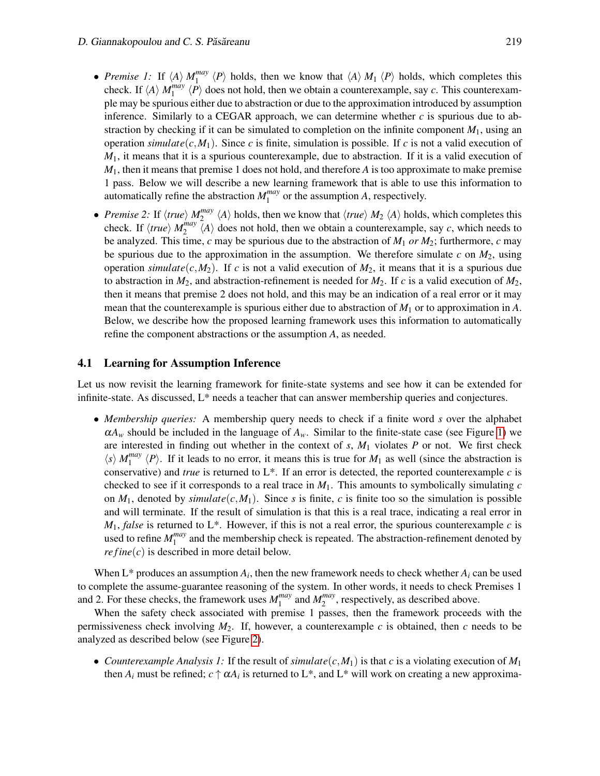- *Premise 1:* If  $\langle A \rangle$   $M_1^{may}$  $\binom{mag}{1}$   $\langle P \rangle$  holds, then we know that  $\langle A \rangle M_1 \langle P \rangle$  holds, which completes this check. If  $\langle A \rangle$  *M*<sup>*may*</sup>  $\binom{mag}{1}$   $\langle P \rangle$  does not hold, then we obtain a counterexample, say *c*. This counterexample may be spurious either due to abstraction or due to the approximation introduced by assumption inference. Similarly to a CEGAR approach, we can determine whether  $c$  is spurious due to abstraction by checking if it can be simulated to completion on the infinite component  $M_1$ , using an operation *simulate*( $c$ , $M_1$ ). Since  $c$  is finite, simulation is possible. If  $c$  is not a valid execution of *M*1, it means that it is a spurious counterexample, due to abstraction. If it is a valid execution of *M*1, then it means that premise 1 does not hold, and therefore *A* is too approximate to make premise 1 pass. Below we will describe a new learning framework that is able to use this information to automatically refine the abstraction *M may*  $_1^{may}$  or the assumption *A*, respectively.
- *Premise* 2: If  $\langle true \rangle$  *M*<sup>*may*</sup>  $\binom{mag}{2}$   $\langle A \rangle$  holds, then we know that  $\langle true \rangle$  *M*<sub>2</sub>  $\langle A \rangle$  holds, which completes this check. If  $\langle true \rangle$  *M*<sup>*may*</sup>  $\binom{may}{2}$   $\langle A \rangle$  does not hold, then we obtain a counterexample, say *c*, which needs to be analyzed. This time, *c* may be spurious due to the abstraction of *M*<sup>1</sup> *or M*2; furthermore, *c* may be spurious due to the approximation in the assumption. We therefore simulate  $c$  on  $M_2$ , using operation *simulate*( $c$ , $M_2$ ). If  $c$  is not a valid execution of  $M_2$ , it means that it is a spurious due to abstraction in  $M_2$ , and abstraction-refinement is needed for  $M_2$ . If *c* is a valid execution of  $M_2$ , then it means that premise 2 does not hold, and this may be an indication of a real error or it may mean that the counterexample is spurious either due to abstraction of *M*<sup>1</sup> or to approximation in *A*. Below, we describe how the proposed learning framework uses this information to automatically refine the component abstractions or the assumption *A*, as needed.

#### 4.1 Learning for Assumption Inference

Let us now revisit the learning framework for finite-state systems and see how it can be extended for infinite-state. As discussed, L\* needs a teacher that can answer membership queries and conjectures.

• *Membership queries:* A membership query needs to check if a finite word *s* over the alphabet  $\alpha A_w$  should be included in the language of  $A_w$ . Similar to the finite-state case (see Figure [1\)](#page-5-0) we are interested in finding out whether in the context of *s*, *M*<sup>1</sup> violates *P* or not. We first check  $\langle s \rangle$  *M*<sup>*may*</sup>  $\binom{may}{1}$   $\langle P \rangle$ . If it leads to no error, it means this is true for *M*<sub>1</sub> as well (since the abstraction is conservative) and *true* is returned to L\*. If an error is detected, the reported counterexample *c* is checked to see if it corresponds to a real trace in  $M_1$ . This amounts to symbolically simulating  $c$ on  $M_1$ , denoted by *simulate*( $c$ , $M_1$ ). Since *s* is finite, *c* is finite too so the simulation is possible and will terminate. If the result of simulation is that this is a real trace, indicating a real error in  $M_1$ , *false* is returned to L<sup>\*</sup>. However, if this is not a real error, the spurious counterexample *c* is used to refine *M may*  $\frac{1}{1}$  and the membership check is repeated. The abstraction-refinement denoted by  $refine(c)$  is described in more detail below.

When  $L^*$  produces an assumption  $A_i$ , then the new framework needs to check whether  $A_i$  can be used to complete the assume-guarantee reasoning of the system. In other words, it needs to check Premises 1 and 2. For these checks, the framework uses *M may*  $\int_1^{may}$  and  $M_2^{may}$  $2^{may}$ , respectively, as described above.

When the safety check associated with premise 1 passes, then the framework proceeds with the permissiveness check involving  $M_2$ . If, however, a counterexample c is obtained, then c needs to be analyzed as described below (see Figure [2\)](#page-7-0).

• *Counterexample Analysis 1:* If the result of *simulate*( $c$ , $M_1$ ) is that  $c$  is a violating execution of  $M_1$ then  $A_i$  must be refined;  $c \uparrow \alpha A_i$  is returned to L<sup>\*</sup>, and L<sup>\*</sup> will work on creating a new approxima-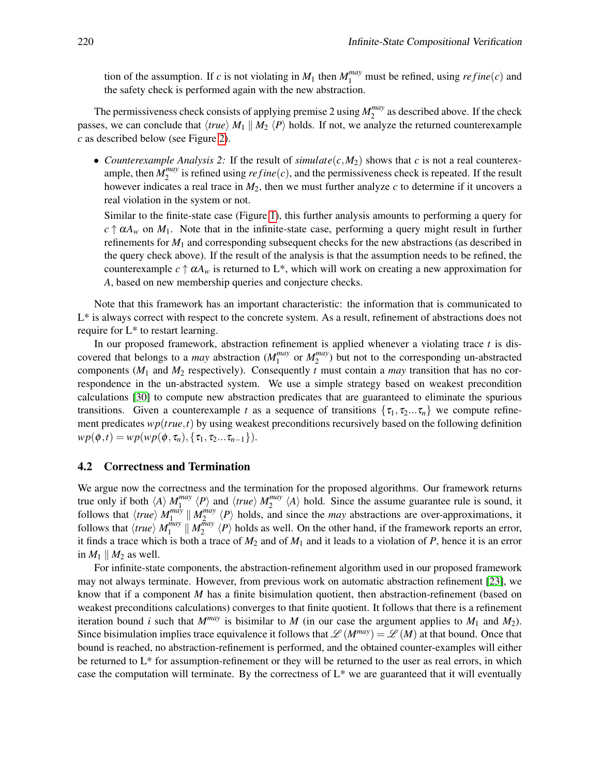tion of the assumption. If *c* is not violating in  $M_1$  then  $M_1^{may}$  must be refined, using  $refine(c)$  and the safety check is performed again with the new abstraction.

The permissiveness check consists of applying premise 2 using *M may*  $2^{may}$  as described above. If the check passes, we can conclude that  $\langle true \rangle M_1 \parallel M_2 \langle P \rangle$  holds. If not, we analyze the returned counterexample *c* as described below (see Figure [2\)](#page-7-0).

• *Counterexample Analysis 2:* If the result of  $simulate(c, M_2)$  shows that *c* is not a real counterexample, then  $M_2^{may}$  $\frac{m}{2}$  is refined using  $refine(c)$ , and the permissiveness check is repeated. If the result however indicates a real trace in  $M_2$ , then we must further analyze  $c$  to determine if it uncovers a real violation in the system or not.

Similar to the finite-state case (Figure [1\)](#page-5-0), this further analysis amounts to performing a query for  $c \uparrow \alpha A_w$  on  $M_1$ . Note that in the infinite-state case, performing a query might result in further refinements for *M*<sup>1</sup> and corresponding subsequent checks for the new abstractions (as described in the query check above). If the result of the analysis is that the assumption needs to be refined, the counterexample  $c \uparrow \alpha A_w$  is returned to L<sup>\*</sup>, which will work on creating a new approximation for *A*, based on new membership queries and conjecture checks.

Note that this framework has an important characteristic: the information that is communicated to L\* is always correct with respect to the concrete system. As a result, refinement of abstractions does not require for L\* to restart learning.

In our proposed framework, abstraction refinement is applied whenever a violating trace *t* is discovered that belongs to a *may* abstraction (*M may*  $_1^{may}$  or  $M_2^{may}$  $\binom{may}{2}$  but not to the corresponding un-abstracted components  $(M_1 \text{ and } M_2 \text{ respectively})$ . Consequently *t* must contain a *may* transition that has no correspondence in the un-abstracted system. We use a simple strategy based on weakest precondition calculations [\[30\]](#page-17-2) to compute new abstraction predicates that are guaranteed to eliminate the spurious transitions. Given a counterexample *t* as a sequence of transitions  $\{\tau_1, \tau_2...\tau_n\}$  we compute refinement predicates *wp*(*true*,*t*) by using weakest preconditions recursively based on the following definition  $wp(\phi, t) = wp(wp(\phi, \tau_n), \{\tau_1, \tau_2...\tau_{n-1}\}).$ 

#### 4.2 Correctness and Termination

We argue now the correctness and the termination for the proposed algorithms. Our framework returns true only if both  $\langle A \rangle$  *M*<sup>*may*</sup>  $\binom{may}{1}$   $\langle P \rangle$  and  $\langle true \rangle$   $M_2^{may}$  $\binom{may}{2}$   $\langle A \rangle$  hold. Since the assume guarantee rule is sound, it follows that  $\langle true \rangle$  *M*<sup>*may*</sup>  $\prod_{1}^{max}$   $\parallel M_2^{max}$  $\sum_{n=1}^{may} \langle P \rangle$  holds, and since the *may* abstractions are over-approximations, it follows that  $\langle true \rangle M_1^{may}$  $\frac{m_{ay}}{1}$  ||  $M_2^{\bar{m}ay}$  $\binom{mag}{2}$   $\langle P \rangle$  holds as well. On the other hand, if the framework reports an error, it finds a trace which is both a trace of  $M_2$  and of  $M_1$  and it leads to a violation of  $P$ , hence it is an error in  $M_1 \parallel M_2$  as well.

For infinite-state components, the abstraction-refinement algorithm used in our proposed framework may not always terminate. However, from previous work on automatic abstraction refinement [\[23\]](#page-16-7), we know that if a component *M* has a finite bisimulation quotient, then abstraction-refinement (based on weakest preconditions calculations) converges to that finite quotient. It follows that there is a refinement iteration bound *i* such that  $M^{may}$  is bisimilar to *M* (in our case the argument applies to  $M_1$  and  $M_2$ ). Since bisimulation implies trace equivalence it follows that  $\mathscr{L}(M^{may}) = \mathscr{L}(M)$  at that bound. Once that bound is reached, no abstraction-refinement is performed, and the obtained counter-examples will either be returned to L\* for assumption-refinement or they will be returned to the user as real errors, in which case the computation will terminate. By the correctness of  $L^*$  we are guaranteed that it will eventually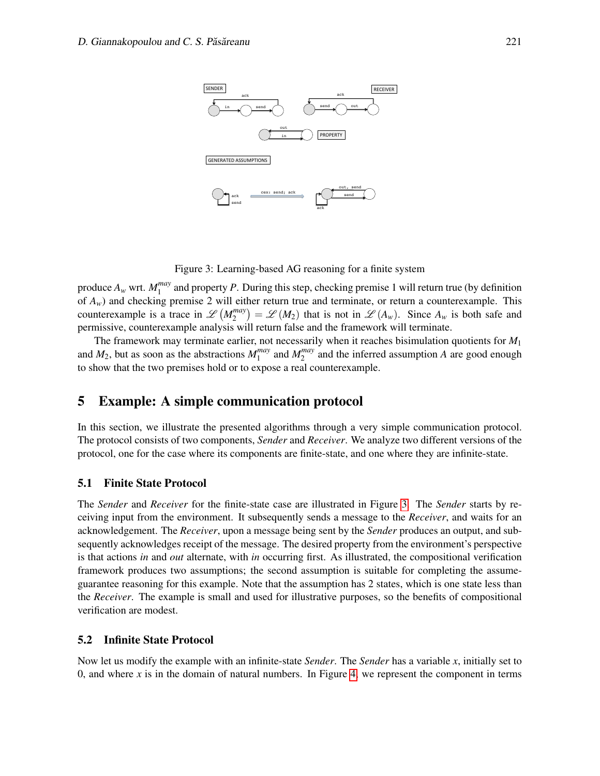

<span id="page-10-0"></span>Figure 3: Learning-based AG reasoning for a finite system

produce  $A_w$  wrt.  $M_1^{may}$  $1<sub>1</sub>$  and property *P*. During this step, checking premise 1 will return true (by definition of *Aw*) and checking premise 2 will either return true and terminate, or return a counterexample. This counterexample is a trace in  $\mathscr{L}(M_2^{may})$  $2^{may}$ ) =  $\mathscr{L}(M_2)$  that is not in  $\mathscr{L}(A_w)$ . Since  $A_w$  is both safe and permissive, counterexample analysis will return false and the framework will terminate.

The framework may terminate earlier, not necessarily when it reaches bisimulation quotients for *M*<sup>1</sup> and  $M_2$ , but as soon as the abstractions  $M_1^{may}$  $_1^{may}$  and  $M_2^{may}$  $2^{may}$  and the inferred assumption *A* are good enough to show that the two premises hold or to expose a real counterexample.

### 5 Example: A simple communication protocol

In this section, we illustrate the presented algorithms through a very simple communication protocol. The protocol consists of two components, *Sender* and *Receiver*. We analyze two different versions of the protocol, one for the case where its components are finite-state, and one where they are infinite-state.

#### 5.1 Finite State Protocol

The *Sender* and *Receiver* for the finite-state case are illustrated in Figure [3.](#page-10-0) The *Sender* starts by receiving input from the environment. It subsequently sends a message to the *Receiver*, and waits for an acknowledgement. The *Receiver*, upon a message being sent by the *Sender* produces an output, and subsequently acknowledges receipt of the message. The desired property from the environment's perspective is that actions *in* and *out* alternate, with *in* occurring first. As illustrated, the compositional verification framework produces two assumptions; the second assumption is suitable for completing the assumeguarantee reasoning for this example. Note that the assumption has 2 states, which is one state less than the *Receiver*. The example is small and used for illustrative purposes, so the benefits of compositional verification are modest.

#### 5.2 Infinite State Protocol

Now let us modify the example with an infinite-state *Sender*. The *Sender* has a variable *x*, initially set to 0, and where  $x$  is in the domain of natural numbers. In Figure [4,](#page-11-0) we represent the component in terms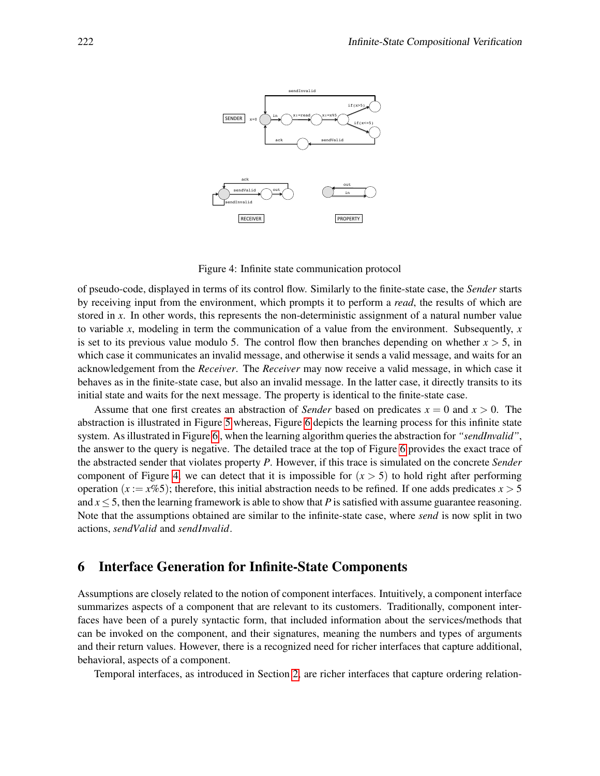

<span id="page-11-0"></span>Figure 4: Infinite state communication protocol

of pseudo-code, displayed in terms of its control flow. Similarly to the finite-state case, the *Sender* starts by receiving input from the environment, which prompts it to perform a *read*, the results of which are stored in x. In other words, this represents the non-deterministic assignment of a natural number value to variable *x*, modeling in term the communication of a value from the environment. Subsequently, *x* is set to its previous value modulo 5. The control flow then branches depending on whether  $x > 5$ , in which case it communicates an invalid message, and otherwise it sends a valid message, and waits for an acknowledgement from the *Receiver*. The *Receiver* may now receive a valid message, in which case it behaves as in the finite-state case, but also an invalid message. In the latter case, it directly transits to its initial state and waits for the next message. The property is identical to the finite-state case.

Assume that one first creates an abstraction of *Sender* based on predicates  $x = 0$  and  $x > 0$ . The abstraction is illustrated in Figure [5](#page-12-0) whereas, Figure [6](#page-12-1) depicts the learning process for this infinite state system. As illustrated in Figure [6](#page-12-1) , when the learning algorithm queries the abstraction for *"sendInvalid"*, the answer to the query is negative. The detailed trace at the top of Figure [6](#page-12-1) provides the exact trace of the abstracted sender that violates property *P*. However, if this trace is simulated on the concrete *Sender* component of Figure [4,](#page-11-0) we can detect that it is impossible for  $(x > 5)$  to hold right after performing operation ( $x := x\%5$ ); therefore, this initial abstraction needs to be refined. If one adds predicates  $x > 5$ and  $x \le 5$ , then the learning framework is able to show that *P* is satisfied with assume guarantee reasoning. Note that the assumptions obtained are similar to the infinite-state case, where *send* is now split in two actions, *sendValid* and *sendInvalid*.

# 6 Interface Generation for Infinite-State Components

Assumptions are closely related to the notion of component interfaces. Intuitively, a component interface summarizes aspects of a component that are relevant to its customers. Traditionally, component interfaces have been of a purely syntactic form, that included information about the services/methods that can be invoked on the component, and their signatures, meaning the numbers and types of arguments and their return values. However, there is a recognized need for richer interfaces that capture additional, behavioral, aspects of a component.

Temporal interfaces, as introduced in Section [2,](#page-1-0) are richer interfaces that capture ordering relation-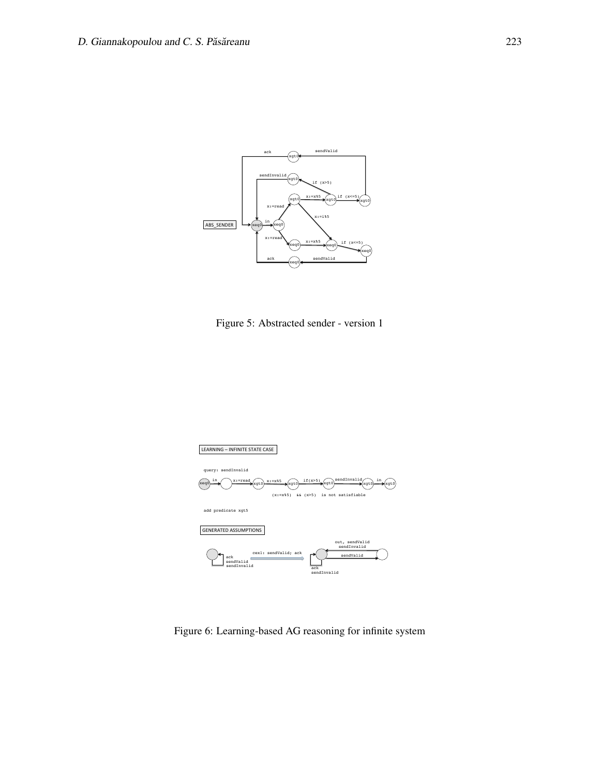

<span id="page-12-0"></span>Figure 5: Abstracted sender - version 1



<span id="page-12-1"></span>Figure 6: Learning-based AG reasoning for infinite system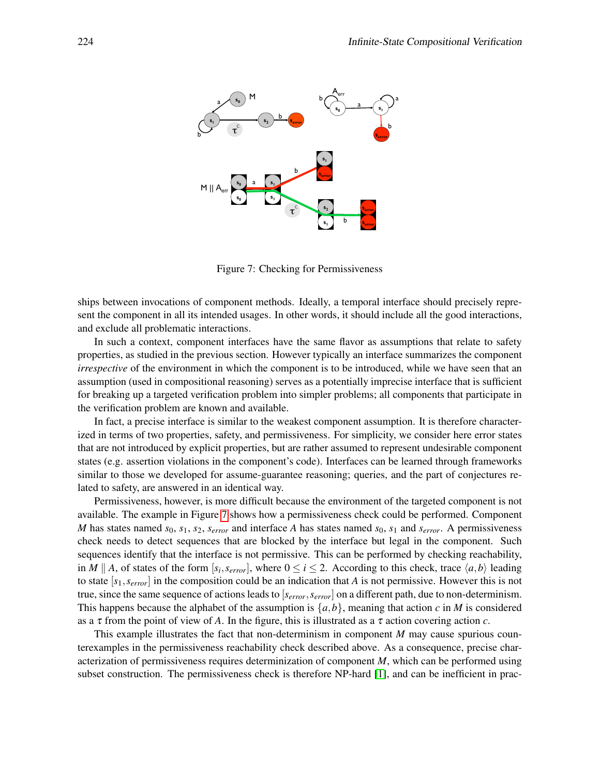

<span id="page-13-0"></span>Figure 7: Checking for Permissiveness

ships between invocations of component methods. Ideally, a temporal interface should precisely represent the component in all its intended usages. In other words, it should include all the good interactions, and exclude all problematic interactions.

In such a context, component interfaces have the same flavor as assumptions that relate to safety properties, as studied in the previous section. However typically an interface summarizes the component *irrespective* of the environment in which the component is to be introduced, while we have seen that an assumption (used in compositional reasoning) serves as a potentially imprecise interface that is sufficient for breaking up a targeted verification problem into simpler problems; all components that participate in the verification problem are known and available.

In fact, a precise interface is similar to the weakest component assumption. It is therefore characterized in terms of two properties, safety, and permissiveness. For simplicity, we consider here error states that are not introduced by explicit properties, but are rather assumed to represent undesirable component states (e.g. assertion violations in the component's code). Interfaces can be learned through frameworks similar to those we developed for assume-guarantee reasoning; queries, and the part of conjectures related to safety, are answered in an identical way.

Permissiveness, however, is more difficult because the environment of the targeted component is not available. The example in Figure [7](#page-13-0) shows how a permissiveness check could be performed. Component *M* has states named  $s_0$ ,  $s_1$ ,  $s_2$ ,  $s_{error}$  and interface *A* has states named  $s_0$ ,  $s_1$  and  $s_{error}$ . A permissiveness check needs to detect sequences that are blocked by the interface but legal in the component. Such sequences identify that the interface is not permissive. This can be performed by checking reachability, in *M* || *A*, of states of the form  $[s_i, s_{error}]$ , where  $0 \le i \le 2$ . According to this check, trace  $\langle a, b \rangle$  leading to state [*s*1,*serror*] in the composition could be an indication that *A* is not permissive. However this is not true, since the same sequence of actions leads to [*serror*,*serror*] on a different path, due to non-determinism. This happens because the alphabet of the assumption is  $\{a,b\}$ , meaning that action *c* in *M* is considered as a  $\tau$  from the point of view of *A*. In the figure, this is illustrated as a  $\tau$  action covering action *c*.

This example illustrates the fact that non-determinism in component *M* may cause spurious counterexamples in the permissiveness reachability check described above. As a consequence, precise characterization of permissiveness requires determinization of component *M*, which can be performed using subset construction. The permissiveness check is therefore NP-hard [\[1\]](#page-15-3), and can be inefficient in prac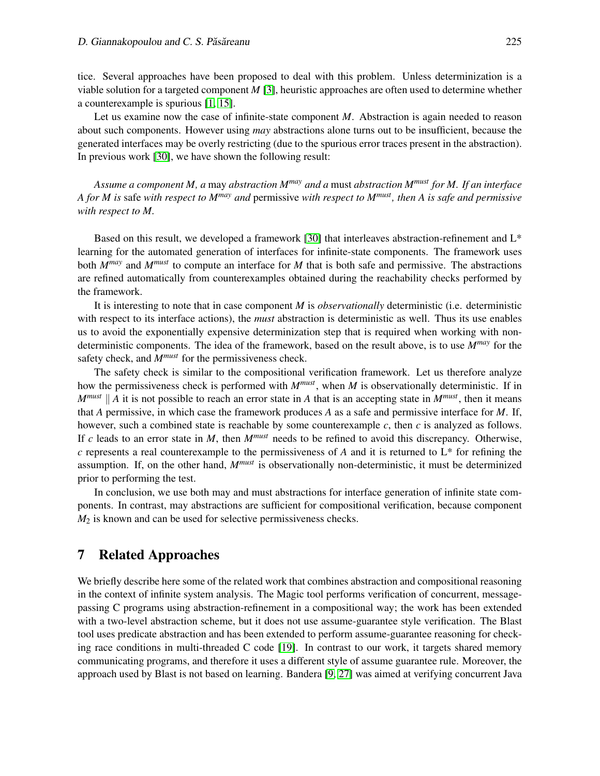tice. Several approaches have been proposed to deal with this problem. Unless determinization is a viable solution for a targeted component *M* [\[3\]](#page-15-1), heuristic approaches are often used to determine whether a counterexample is spurious [\[1,](#page-15-3) [15\]](#page-16-8).

Let us examine now the case of infinite-state component *M*. Abstraction is again needed to reason about such components. However using *may* abstractions alone turns out to be insufficient, because the generated interfaces may be overly restricting (due to the spurious error traces present in the abstraction). In previous work [\[30\]](#page-17-2), we have shown the following result:

*Assume a component M, a* may *abstraction Mmay and a* must *abstraction Mmust for M. If an interface A for M is* safe *with respect to Mmay and* permissive *with respect to Mmust, then A is safe and permissive with respect to M.*

Based on this result, we developed a framework [\[30\]](#page-17-2) that interleaves abstraction-refinement and L\* learning for the automated generation of interfaces for infinite-state components. The framework uses both *Mmay* and *Mmust* to compute an interface for *M* that is both safe and permissive. The abstractions are refined automatically from counterexamples obtained during the reachability checks performed by the framework.

It is interesting to note that in case component *M* is *observationally* deterministic (i.e. deterministic with respect to its interface actions), the *must* abstraction is deterministic as well. Thus its use enables us to avoid the exponentially expensive determinization step that is required when working with nondeterministic components. The idea of the framework, based on the result above, is to use *Mmay* for the safety check, and *Mmust* for the permissiveness check.

The safety check is similar to the compositional verification framework. Let us therefore analyze how the permissiveness check is performed with *Mmust*, when *M* is observationally deterministic. If in  $M^{must}$  || A it is not possible to reach an error state in A that is an accepting state in  $M^{must}$ , then it means that *A* permissive, in which case the framework produces *A* as a safe and permissive interface for *M*. If, however, such a combined state is reachable by some counterexample *c*, then *c* is analyzed as follows. If *c* leads to an error state in *M*, then *Mmust* needs to be refined to avoid this discrepancy. Otherwise, *c* represents a real counterexample to the permissiveness of *A* and it is returned to L\* for refining the assumption. If, on the other hand, *Mmust* is observationally non-deterministic, it must be determinized prior to performing the test.

In conclusion, we use both may and must abstractions for interface generation of infinite state components. In contrast, may abstractions are sufficient for compositional verification, because component *M*<sup>2</sup> is known and can be used for selective permissiveness checks.

### 7 Related Approaches

We briefly describe here some of the related work that combines abstraction and compositional reasoning in the context of infinite system analysis. The Magic tool performs verification of concurrent, messagepassing C programs using abstraction-refinement in a compositional way; the work has been extended with a two-level abstraction scheme, but it does not use assume-guarantee style verification. The Blast tool uses predicate abstraction and has been extended to perform assume-guarantee reasoning for checking race conditions in multi-threaded C code [\[19\]](#page-16-9). In contrast to our work, it targets shared memory communicating programs, and therefore it uses a different style of assume guarantee rule. Moreover, the approach used by Blast is not based on learning. Bandera [\[9,](#page-16-10) [27\]](#page-17-5) was aimed at verifying concurrent Java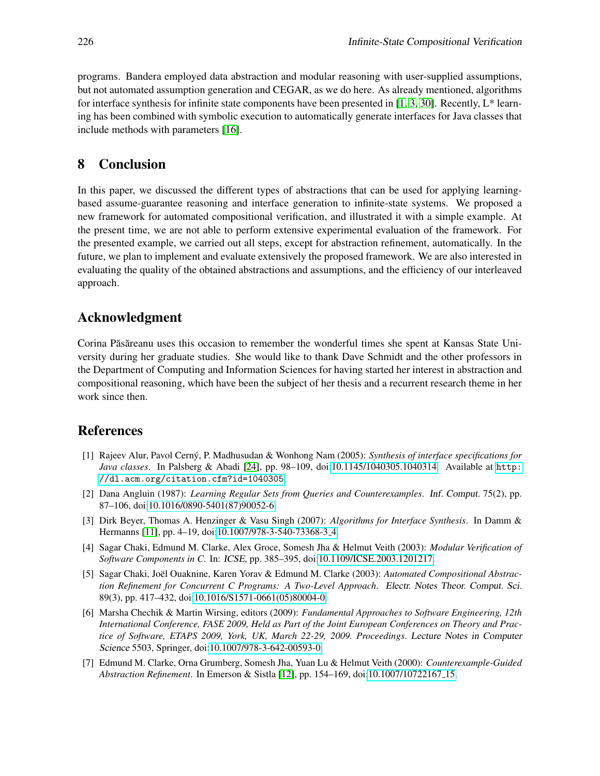programs. Bandera employed data abstraction and modular reasoning with user-supplied assumptions, but not automated assumption generation and CEGAR, as we do here. As already mentioned, algorithms for interface synthesis for infinite state components have been presented in [\[1,](#page-15-3) [3,](#page-15-1) [30\]](#page-17-2). Recently,  $L^*$  learning has been combined with symbolic execution to automatically generate interfaces for Java classes that include methods with parameters [\[16\]](#page-16-4).

# 8 Conclusion

In this paper, we discussed the different types of abstractions that can be used for applying learningbased assume-guarantee reasoning and interface generation to infinite-state systems. We proposed a new framework for automated compositional verification, and illustrated it with a simple example. At the present time, we are not able to perform extensive experimental evaluation of the framework. For the presented example, we carried out all steps, except for abstraction refinement, automatically. In the future, we plan to implement and evaluate extensively the proposed framework. We are also interested in evaluating the quality of the obtained abstractions and assumptions, and the efficiency of our interleaved approach.

# Acknowledgment

Corina Păsăreanu uses this occasion to remember the wonderful times she spent at Kansas State University during her graduate studies. She would like to thank Dave Schmidt and the other professors in the Department of Computing and Information Sciences for having started her interest in abstraction and compositional reasoning, which have been the subject of her thesis and a recurrent research theme in her work since then.

# References

- <span id="page-15-3"></span>[1] Rajeev Alur, Pavol Cerny, P. Madhusudan & Wonhong Nam (2005): ´ *Synthesis of interface specifications for Java classes*. In Palsberg & Abadi [\[24\]](#page-16-11), pp. 98–109, doi[:10.1145/1040305.1040314.](http://dx.doi.org/10.1145/1040305.1040314) Available at [http:](http://dl.acm.org/citation.cfm?id=1040305) [//dl.acm.org/citation.cfm?id=1040305](http://dl.acm.org/citation.cfm?id=1040305).
- <span id="page-15-0"></span>[2] Dana Angluin (1987): *Learning Regular Sets from Queries and Counterexamples*. Inf. Comput. 75(2), pp. 87–106, doi[:10.1016/0890-5401\(87\)90052-6.](http://dx.doi.org/10.1016/0890-5401(87)90052-6)
- <span id="page-15-1"></span>[3] Dirk Beyer, Thomas A. Henzinger & Vasu Singh (2007): *Algorithms for Interface Synthesis*. In Damm & Hermanns [\[11\]](#page-16-12), pp. 4–19, doi[:10.1007/978-3-540-73368-3](http://dx.doi.org/10.1007/978-3-540-73368-3_4) 4.
- [4] Sagar Chaki, Edmund M. Clarke, Alex Groce, Somesh Jha & Helmut Veith (2003): *Modular Verification of Software Components in C*. In: ICSE, pp. 385–395, doi[:10.1109/ICSE.2003.1201217.](http://dx.doi.org/10.1109/ICSE.2003.1201217)
- [5] Sagar Chaki, Joël Ouaknine, Karen Yorav & Edmund M. Clarke (2003): Automated Compositional Abstrac*tion Refinement for Concurrent C Programs: A Two-Level Approach*. Electr. Notes Theor. Comput. Sci. 89(3), pp. 417–432, doi[:10.1016/S1571-0661\(05\)80004-0.](http://dx.doi.org/10.1016/S1571-0661(05)80004-0)
- <span id="page-15-4"></span>[6] Marsha Chechik & Martin Wirsing, editors (2009): *Fundamental Approaches to Software Engineering, 12th International Conference, FASE 2009, Held as Part of the Joint European Conferences on Theory and Practice of Software, ETAPS 2009, York, UK, March 22-29, 2009. Proceedings*. Lecture Notes in Computer Science 5503, Springer, doi[:10.1007/978-3-642-00593-0.](http://dx.doi.org/10.1007/978-3-642-00593-0)
- <span id="page-15-2"></span>[7] Edmund M. Clarke, Orna Grumberg, Somesh Jha, Yuan Lu & Helmut Veith (2000): *Counterexample-Guided Abstraction Refinement*. In Emerson & Sistla [\[12\]](#page-16-13), pp. 154–169, doi[:10.1007/10722167](http://dx.doi.org/10.1007/10722167_15) 15.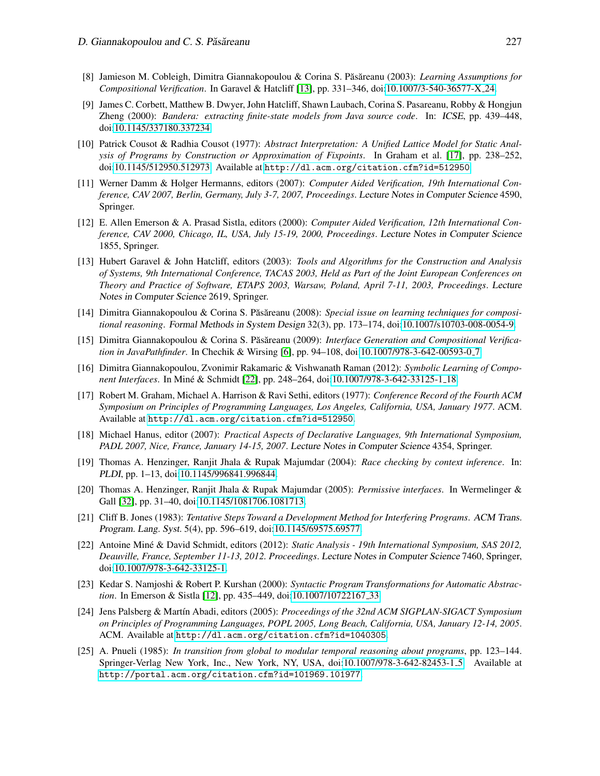- <span id="page-16-2"></span>[8] Jamieson M. Cobleigh, Dimitra Giannakopoulou & Corina S. Pas˘ areanu (2003): ˘ *Learning Assumptions for Compositional Verification*. In Garavel & Hatcliff [\[13\]](#page-16-14), pp. 331–346, doi[:10.1007/3-540-36577-X](http://dx.doi.org/10.1007/3-540-36577-X_24) 24.
- <span id="page-16-10"></span>[9] James C. Corbett, Matthew B. Dwyer, John Hatcliff, Shawn Laubach, Corina S. Pasareanu, Robby & Hongjun Zheng (2000): *Bandera: extracting finite-state models from Java source code*. In: ICSE, pp. 439–448, doi[:10.1145/337180.337234.](http://dx.doi.org/10.1145/337180.337234)
- <span id="page-16-6"></span>[10] Patrick Cousot & Radhia Cousot (1977): *Abstract Interpretation: A Unified Lattice Model for Static Analysis of Programs by Construction or Approximation of Fixpoints*. In Graham et al. [\[17\]](#page-16-15), pp. 238–252, doi[:10.1145/512950.512973.](http://dx.doi.org/10.1145/512950.512973) Available at <http://dl.acm.org/citation.cfm?id=512950>.
- <span id="page-16-12"></span>[11] Werner Damm & Holger Hermanns, editors (2007): *Computer Aided Verification, 19th International Conference, CAV 2007, Berlin, Germany, July 3-7, 2007, Proceedings*. Lecture Notes in Computer Science 4590, Springer.
- <span id="page-16-13"></span>[12] E. Allen Emerson & A. Prasad Sistla, editors (2000): *Computer Aided Verification, 12th International Conference, CAV 2000, Chicago, IL, USA, July 15-19, 2000, Proceedings*. Lecture Notes in Computer Science 1855, Springer.
- <span id="page-16-14"></span>[13] Hubert Garavel & John Hatcliff, editors (2003): *Tools and Algorithms for the Construction and Analysis of Systems, 9th International Conference, TACAS 2003, Held as Part of the Joint European Conferences on Theory and Practice of Software, ETAPS 2003, Warsaw, Poland, April 7-11, 2003, Proceedings*. Lecture Notes in Computer Science 2619, Springer.
- <span id="page-16-3"></span>[14] Dimitra Giannakopoulou & Corina S. Păsăreanu (2008): Special issue on learning techniques for composi*tional reasoning*. Formal Methods in System Design 32(3), pp. 173–174, doi[:10.1007/s10703-008-0054-9.](http://dx.doi.org/10.1007/s10703-008-0054-9)
- <span id="page-16-8"></span>[15] Dimitra Giannakopoulou & Corina S. Păsăreanu (2009): *Interface Generation and Compositional Verification in JavaPathfinder*. In Chechik & Wirsing [\[6\]](#page-15-4), pp. 94–108, doi[:10.1007/978-3-642-00593-0](http://dx.doi.org/10.1007/978-3-642-00593-0_7) 7.
- <span id="page-16-4"></span>[16] Dimitra Giannakopoulou, Zvonimir Rakamaric & Vishwanath Raman (2012): *Symbolic Learning of Component Interfaces*. In Miné & Schmidt [\[22\]](#page-16-16), pp. 248–264, doi[:10.1007/978-3-642-33125-1](http://dx.doi.org/10.1007/978-3-642-33125-1_18)<sub>-1</sub>18.
- <span id="page-16-15"></span>[17] Robert M. Graham, Michael A. Harrison & Ravi Sethi, editors (1977): *Conference Record of the Fourth ACM Symposium on Principles of Programming Languages, Los Angeles, California, USA, January 1977*. ACM. Available at <http://dl.acm.org/citation.cfm?id=512950>.
- <span id="page-16-17"></span>[18] Michael Hanus, editor (2007): *Practical Aspects of Declarative Languages, 9th International Symposium, PADL 2007, Nice, France, January 14-15, 2007*. Lecture Notes in Computer Science 4354, Springer.
- <span id="page-16-9"></span>[19] Thomas A. Henzinger, Ranjit Jhala & Rupak Majumdar (2004): *Race checking by context inference*. In: PLDI, pp. 1–13, doi[:10.1145/996841.996844.](http://dx.doi.org/10.1145/996841.996844)
- <span id="page-16-5"></span>[20] Thomas A. Henzinger, Ranjit Jhala & Rupak Majumdar (2005): *Permissive interfaces*. In Wermelinger & Gall [\[32\]](#page-17-6), pp. 31–40, doi[:10.1145/1081706.1081713.](http://dx.doi.org/10.1145/1081706.1081713)
- <span id="page-16-0"></span>[21] Cliff B. Jones (1983): *Tentative Steps Toward a Development Method for Interfering Programs*. ACM Trans. Program. Lang. Syst. 5(4), pp. 596–619, doi[:10.1145/69575.69577.](http://dx.doi.org/10.1145/69575.69577)
- <span id="page-16-16"></span>[22] Antoine Miné & David Schmidt, editors (2012): *Static Analysis - 19th International Symposium, SAS 2012*, *Deauville, France, September 11-13, 2012. Proceedings*. Lecture Notes in Computer Science 7460, Springer, doi[:10.1007/978-3-642-33125-1.](http://dx.doi.org/10.1007/978-3-642-33125-1)
- <span id="page-16-7"></span>[23] Kedar S. Namjoshi & Robert P. Kurshan (2000): *Syntactic Program Transformations for Automatic Abstraction*. In Emerson & Sistla [\[12\]](#page-16-13), pp. 435–449, doi[:10.1007/10722167](http://dx.doi.org/10.1007/10722167_33)<sub>-33</sub>.
- <span id="page-16-11"></span>[24] Jens Palsberg & Martín Abadi, editors (2005): *Proceedings of the 32nd ACM SIGPLAN-SIGACT Symposium on Principles of Programming Languages, POPL 2005, Long Beach, California, USA, January 12-14, 2005*. ACM. Available at <http://dl.acm.org/citation.cfm?id=1040305>.
- <span id="page-16-1"></span>[25] A. Pnueli (1985): *In transition from global to modular temporal reasoning about programs*, pp. 123–144. Springer-Verlag New York, Inc., New York, NY, USA, doi[:10.1007/978-3-642-82453-1](http://dx.doi.org/10.1007/978-3-642-82453-1_5) 5. Available at <http://portal.acm.org/citation.cfm?id=101969.101977>.